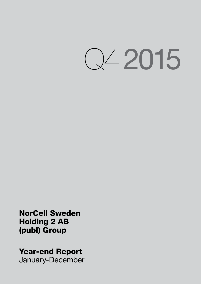Q4 2015

NorCell Sweden Holding 2 AB (publ) Group

Year-end Report

January-December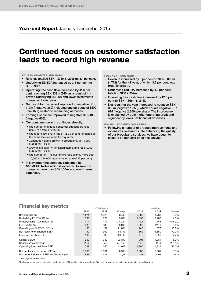# Year-end Report January-December 2015

# Continued focus on customer satisfaction leads to record high revenue

#### FOURTH QUARTER SUMMARY

- Revenue totalled SEK 1,271m (1,229), up 3.4 per cent.
- Underlying EBITDA increased by 3.3 per cent to SEK 598m.
- Operating free cash flow increased by 41.6 per cent reaching SEK 339m (240) as a result of improved Underlying EBITDA and lower investments compared to last year.
- Net result for the period improved to negative SEK 112m (negative 362) including one off costs of SEK 97m (377) related to refinancing activities.
- Earnings per share improved to negative SEK 186 (negative 603).
- Our consumer growth continues steadily:
	- The number of unique consumer subscribers rose 8,000 to a total of 911,000.
	- The record-low churn rate of 12.9 per cent remained at the same level as in the third quarter.
	- Continued volume growth in broadband, up 11,000 to 658,000 RGUs.
	- Growth in digital TV remained stable, and rose 4,000 to 635,000 RGUs.
	- The number of TiVo customers rose slightly more than 10,000 to 224,000 (a penetration rate of 35 per cent).
- In November the company redeemed its 187 MEUR Notes which is expected to save the company more than SEK 100m in annual interest expenses.

# FULL YEAR SUMMARY

- Revenue increased by 5 per cent to SEK 5,000m (4,761) for the full year, of which 3.6 per cent was organic growth.
- Underlying EBITDA increased by 4.0 per cent totalling SEK 2,357m.
- Operating free cash flow increased by 12.3 per cent to SEK 1,366m (1,216).
- Net result for the year increased to negative SEK 369m (negative 1,350), which equals negative SEK 615 (negative 2,250) per share. The improvement is explained by both higher operating profit and significantly lower net financial expenses.

FOCUS UPCOMING QUARTERS

• Following a number of product improvements and extensive investments into enhancing the quality of our broadband services, we have begun to execute on our 2016 price rise activity.

# Financial key metrics<sup>1)</sup>

|                                          | OCT-DEC / Q4 |        |             | JAN-DEC |          |             |
|------------------------------------------|--------------|--------|-------------|---------|----------|-------------|
|                                          | 2015         | 2014   | Change      | 2015    | 2014     | Change      |
| Revenue, SEKm                            | 1,271        | 1,229  | 3.4%        | 5.000   | 4.761    | 5.0%        |
| Underlying EBITDA, SEKm                  | 598          | 579    | 3.3%        | 2.357   | 2.267    | 4.0%        |
| Underlying EBITDA margin, %              | 47.1         | 47.1   | $-0.1$ p.p. | 47.1    | 47.6     | $-0.5 p.p.$ |
| EBITDA, SEKm                             | 586          | 538    | 9.0%        | 2,290   | 2,111    | 8.5%        |
| Operating profit (EBIT), SEKm            | 195          | 161    | 21.0%       | 745     | 672      | 10.8%       |
| Net result for the period, SEKm          | $-112$       | $-362$ | 69.1%       | $-369$  | $-1.350$ | 72.7%       |
| Earnings per share, SEK                  | $-186$       | -603   | 69.1%       | $-615$  | $-2,250$ | 72.7%       |
| Capex, SEKm                              | 259          | 340    | $-23.8%$    | 991     | 1.051    | $-5.7%$     |
| Capex as % of revenue                    | 20.4         | 27.6   | $-7.3 p.p.$ | 19.8    | 22.1     | $-2.2 p.p.$ |
| Operating free cash flow, SEKm           | 339          | 240    | 41.6%       | 1,366   | 1,216    | 12.3%       |
| Net debt at end of period, SEKm          | 9,060        | 8,981  | 0.9%        | 9.060   | 8.981    | 0.9%        |
| Net debt/Underlying EBITDA LTM, multiple | 3,8x         | 4.0x   | $-0.1x$     | 3,8x    | 4.0x     | $-0.1x$     |

<sup>1)</sup> See page 14 for definitions.

The figures in this report refer to the fourth quarter of 2015 unless otherwise stated. Figures in brackets refer to the corresponding period last year.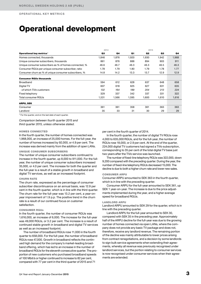OPERATIONAL KEY METRICS

# Operational development

|                                                        | 2014  |                |       | 2015  |       |                |
|--------------------------------------------------------|-------|----------------|-------|-------|-------|----------------|
| Operational key metrics <sup>1)</sup>                  | Q3    | Q <sub>4</sub> | Q1    | Q2    | Q3    | Q <sub>4</sub> |
| Homes connected, thousands                             | 1.846 | 1,876          | 1.920 | 1,930 | 1.942 | 1,968          |
| Unique consumer subscribers, thousands                 | 861   | 876            | 888   | 894   | 903   | 911            |
| Unique consumer subscribers as % of homes connected, % | 46.6  | 46.7           | 46.3  | 46.3  | 46.5  | 46.3           |
| Consumer RGUs per unique consumer subscriber, ratio    | 1.78  | 1.79           | 1.80  | 1.79  | 1.78  | 1.77           |
| Consumer churn as % of unique consumer subscribers, %  | 14.8  | 14.2           | 13.3  | 13.7  | 12.9  | 12.9           |
| <b>Consumer RGUs thousands</b>                         |       |                |       |       |       |                |
| Broadband                                              | 594   | 612            | 628   | 637   | 648   | 658            |
| Digital TV                                             | 607   | 618            | 625   | 627   | 631   | 635            |
| -of which TiVo customers                               | 132   | 164            | 189   | 204   | 213   | 224            |
| Fixed telephony                                        | 329   | 337            | 342   | 337   | 331   | 322            |
| Total consumer RGUs                                    | 1,531 | 1,566          | 1,595 | 1,600 | 1,610 | 1,616          |
| <b>ARPU, SEK</b>                                       |       |                |       |       |       |                |
| Consumer                                               | 361   | 361            | 358   | 361   | 363   | 363            |
| Landlord                                               | 35    | 33             | 31    | 30    | 29    | 29             |

<sup>1)</sup> For the quarter, and on the last date of each quarter.

*Comparison between fourth quarter 2015 and third quarter 2015, unless otherwise stated.*

### HOMES CONNECTED

In the fourth quarter, the number of homes connected was 1,968,000, an increase of 25,000 homes. For the full-year, the number of homes increased by 92,000, or 4.9 per cent. The increase was derived mainly from the addition of open LANs.

### UNIQUE CONSUMER SUBSCRIBERS

The number of unique consumer subscribers continued to increase in the fourth quarter, up 8,000 to 911,000. For the fullyear, the number of unique consumer subscribers increased 35,000, or 4.0 per cent. The increase for both the quarter and the full-year is a result of a stable growth in broadband and digital TV services, as well as an increased footprint.

# CHURN RATE

The churn rate, expressed as the percentage of consumer subscriber discontinuance on an annual basis, was 12.9 per cent in the fourth quarter, which is in line with the third quarter. The churn rate for the full-year was 13.2 per cent, a year-onyear improvement of 1.9 p.p. The positive trend in the churn rate is a result of our continued focus on customer satisfaction.

#### CONSUMER RGUs

In the fourth quarter, the number of consumer RGUs was 1,616,000, an increase of 6,000. The increase for the full-year was 49,000 RGUs, or 3.2 per cent. The increase is a result of continued stable growth in broadband and digital TV services as well as an increased footprint.

The number of broadband RGUs rose 11,000 in the fourth quarter to 658,000. For the full-year, the number of broadband RGUs rose 47,000. Growth in broadband reflects the continued high demand for the company's market-leading broadband offering, which has led to an increase in the number of broadband RGUs for the eleventh consecutive quarter. The proportion of new customers who purchased broadband speeds of 100 Mbit/s or higher continued to increase to 82 per cent, compared with 77 per cent in the third quarter of 2015 and 71

per cent in the fourth quarter of 2014.

In the fourth quarter, the number of digital TV RGUs rose 4,000 to 635,000 RGUs, and for the full-year, the number of RGUs rose 18,000, or 2.9 per cent. At the end of the quarter, 224,000 digital TV customers had signed a TiVo subscription, corresponding to 35 per cent of the total digital TV base just two years after the TiVo service was launched.

The number of fixed-line telephony RGUs was 322,000, down 9,200 compared with the preceding quarter. During the year, the number of fixed-line telephony RGUs decreased 15,000. The decline is due to both a higher churn rate and lower new sales.

### CONSUMER ARPU

Consumer ARPU amounted to SEK 363 in the fourth quarter, which is in line with the preceding quarter.

Consumer ARPU for the full-year amounted to SEK 361, up SEK 1 year-on-year. The increase is due to the price adjustments implemented during the year, and a higher average speed for broadband RGUs.

#### LANDLORD ARPU

Landlord ARPU amounted to SEK 29 for the quarter, which is in line with the preceding quarter.

Landlord ARPU for the full-year amounted to SEK 30, compared with SEK 35 in the preceding year. Approximately half of the ARPU decline for the full-year was due to the growing number of homes connected via open LANs, where the company does not provide any basic TV package and does not, therefore, receive any landlord revenue. The remaining portion of the decline was mainly attributable to lower prices arising from contract renegotiations, and a decision by some landlords to sign bulk service agreements when extending their agreements, whereby all revenue was previously recognised under landlord services, but the portion relating to consumer services is now recognised under consumer services when their agreements are extended.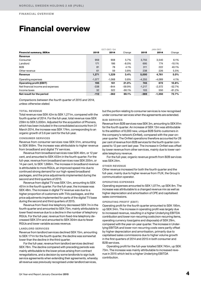# Financial overview

|                                   |          | OCT-DEC / Q4 |          |          | JAN-DEC  |          |
|-----------------------------------|----------|--------------|----------|----------|----------|----------|
| <b>Financial summary, SEKm</b>    | 2015     | 2014         | Change   | 2015     | 2014     | Change   |
| Revenue                           |          |              |          |          |          |          |
| Consumer                          | 959      | 908          | 5.7%     | 3,755    | 3.540    | 6.1%     |
| Landlord                          | 171      | 186          | $-8.0\%$ | 695      | 774      | $-10.1%$ |
| B <sub>2</sub> B                  | 81       | 78           | 4.1%     | 311      | 222      | 40.1%    |
| Other revenue                     | 61       | 59           | 3.8%     | 238      | 226      | 5.5%     |
| Revenue                           | 1,271    | 1,229        | 3.4%     | 5,000    | 4,761    | 5.0%     |
| Operating expenses                | $-1,077$ | $-1.068$     | 0.8%     | $-4.255$ | $-4.089$ | 4.1%     |
| <b>Operating profit (EBIT)</b>    | 195      | 161          | 21.0%    | 745      | 672      | 10.8%    |
| Net financial income and expenses | $-338$   | $-844$       | $-59.9%$ | $-1,217$ | $-2,572$ | $-52.7%$ |
| Income taxes                      | 32       | 322          | $-90.1%$ | 103      | 550      | $-81.2%$ |
| Net result for the period         | $-112$   | $-362$       | 69.1%    | $-369$   | $-1,350$ | 72.7%    |

*Comparisons between the fourth quarter of 2015 and 2014, unless otherwise stated.*

# TOTAL REVENUE

Total revenue rose SEK 42m to SEK 1,271m, compared with the fourth quarter of 2014. For the full-year, total revenue rose SEK 239m to SEK 5,000m. Adjusted for the acquisition of Phonera, which has been included in the consolidated accounts from 31 March 2014, the increase was SEK 174m, corresponding to an organic growth of 3.6 per cent for the full-year.

## CONSUMER SERVICES

Revenue from consumer services rose SEK 51m, amounting to SEK 959m. The increase was attributable to higher revenue from broadband and digital TV services.

Revenue from broadband services rose SEK 46m, or 12 per cent, and amounted to SEK 433m in the fourth quarter. For the full-year, revenue from broadband services rose SEK 205m, or 14 per cent, to SEK 1,666m. The increase in broadband revenue is attributable to more RGUs, an improved speed mix due to continued strong demand for our high-speed broadband packages, and the price adjustments implemented during the second and third quarters of 2015.

Revenue from digital TV rose SEK 12m, amounting to SEK 451m in the fourth quarter. For the full-year, the increase was SEK 48m. The increase in digital TV revenue was due to a higher proportion of customers with TiVo packages, and the price adjustments implemented for parts of the digital TV base during the second and third quarters of 2015.

Revenue from fixed-line telephony decreased SEK 7m in the fourth quarter and amounted to SEK 75m, mainly attributable to lower fixed revenue due to a decline in the number of telephony RGUs. For the full-year, revenue from fixed-line telephony decreased SEK 37m and amounted to SEK 304m due to fewer RGUs and lower variable access revenue.

# LANDLORD SERVICES

Revenue from landlord services declined SEK 15m, amounting to SEK 171m for the fourth quarter, the decline was somewhat lower than the decline in the third quarter.

For the full-year, revenue from landlord services declined SEK 78m. The decline compared with preceding periods was mainly attributable to the lower prices arising from contract renegotiations, and a decision by some landlords to sign bulk service agreements when extending their agreements, whereby all revenue was previously recognised under landlord services,

but the portion relating to consumer services is now recognised under consumer services when the agreements are extended.

# B2B SERVICES

Revenue from B2B services rose SEK 3m, amounting to SEK 81m for the fourth quarter. An increase of SEK 13m was attributable to the addition of 8,000 new, unique B2B SoHo customers in the company's network (OnNet), compared with the year-onyear quarter. The OnNet operations therefore accounted for 28 per cent of revenue from B2B services for the fourth quarter compared to 12 per cent last year. The increase in OnNet was offset by lower revenue from other services, mainly due to lower variable telephony revenue.

For the full-year, organic revenue growth from B2B services was SEK 24m.

#### OTHER REVENUE

Other revenue increased for both the fourth quarter and the full-year, mainly due to higher revenue from iTUX, the Group's communication operator.

# OPERATING EXPENSES

Operating expenses amounted to SEK 1,077m, up SEK 8m. The increase was attributable to a changed revenue mix as well as higher depreciation and amortisation of CPE and capitalised sales commissions.

# OPERATING PROFIT (EBIT)

Operating profit for the fourth quarter amounted to SEK 195m, up SEK 34m. The increase in operating profit was largely due to increased revenue, resulting in a higher Underlying EBITDA contribution and lower non-recurring costs (non-recurring items, operating currency loss/gains and disposals) of SEK 29m, compared with the year-on-year quarter. The increase in Underlying EBITDA and lower non-recurring costs were partly offset by higher depreciation and amortisation, primarily due to capitalised sales commissions due to higher volume growth in the first quarters of 2014 and 2015 in both consumer and B2B services.

Operating profit for the full-year totalled SEK 745m, up SEK 73m. The increase was mainly attributable to increased revenue in 2015 which led to a higher Underlying EBITDA contribution.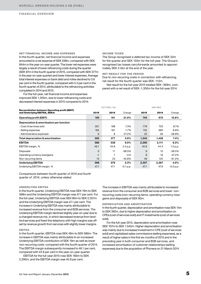#### NET FINANCIAL INCOME AND EXPENSES

In the fourth quarter, net financial income and expenses amounted to a net expense of SEK 338m, compared with SEK 844m in the year-on-year quarter. The lower net expenses were largely a result of lower refinancing costs during the quarter (SEK 97m in the fourth quarter of 2015, compared with SEK 377m in the year-on-year quarter) and lower interest expenses. Average total interest expenses on bank debt and notes declined to 3.6 per cent in the fourth quarter, compared with 5.3 per cent in the fourth quarter of 2014, attributable to the refinancing activities completed in 2014 and 2015.

For the full-year, net financial income and expenses improved SEK 1,355m, due to lower refinancing costs and decreased interest expenses in 2015 compared to 2014.

#### INCOME TAXES

The Group recognised a deferred tax income of SEK 32m for the quarter and SEK 103m for the full-year. The Group's recognised tax losses carryforwards amounted to approximately SEK 2.5bn at the end of the year.

# NET RESULT FOR THE PERIOD

Due to non-recurring costs in connection with refinancing, net result for the fourth quarter was SEK -112m.

Net result for the full-year 2015 totalled SEK -369m, compared with a net result of SEK -1,350m for the full-year 2014.

|                                                                                      |             | OCT-DEC / Q4 |             |       | JAN-DEC |           |
|--------------------------------------------------------------------------------------|-------------|--------------|-------------|-------|---------|-----------|
| <b>Reconciliation between Operating profit (EBIT)</b><br>and Underlying EBITDA, SEKm | 2015        | 2014         | Change      | 2015  | 2014    | Change    |
| <b>Operating profit (EBIT)</b>                                                       | 195         | 161          | 21.0%       | 745   | 672     | 10.8%     |
| Depreciation & amortisation per function                                             |             |              |             |       |         |           |
| - Cost of services sold                                                              | 201         | 188          | 7.3%        | 778   | 720     | 8.1%      |
| - Selling expenses                                                                   | 184         | 181          | 1.7%        | 742   | 683     | 8.6%      |
| - Administrative expenses                                                            | 6           | 8            | $-27.2%$    | 25    | 36      | $-28.8\%$ |
| Total depreciation & amortisation                                                    | 392         | 377          | 3.8%        | 1,545 | 1,438   | 7.4%      |
| <b>EBITDA</b>                                                                        | 586         | 538          | $9.0\%$     | 2,290 | 2,111   | 8.5%      |
| EBITDA margin, %                                                                     | 46.1        | 43.8         | 2.4 p.p.    | 45.8  | 44.3    | 1.5 p.p.  |
| <b>Disposals</b>                                                                     | $\mathbf 0$ | 11           | $-99.5%$    | 9     | 15      | $-38.5%$  |
| Operating currency loss/gains                                                        | $-1$        | 7            | n/m         | 8     | 16      | $-47.2%$  |
| Non-recurring items                                                                  | 13          | 23           | $-45.8%$    | 49    | 125     | $-61.2%$  |
| <b>Underlying EBITDA</b>                                                             | 598         | 579          | 3.3%        | 2,357 | 2,267   | 4.0%      |
| Underlying EBITDA margin, %                                                          | 47.1        | 47.1         | $-0.1$ p.p. | 47.1  | 47.6    | -0.5 p.p. |

*Comparisons between fourth quarter of 2015 and fourth quarter of 2014, unless otherwise stated.*

#### UNDERLYING EBITDA

In the fourth quarter, Underlying EBITDA rose SEK 19m to SEK 598m and the Underlying EBITDA margin was 47.1 per cent. For the full-year, Underlying EBITDA rose SEK 90m to SEK 2,357m and the Underlying EBITDA margin was 47.1 per cent. The increase in Underlying EBITDA was mainly attributable to increased revenue from the consumer and B2B services. The Underlying EBITDA margin declined slightly year-on-year due to a changed revenue mix, in which decreased revenue from landlord services and fixed-line telephony with high margins was offset by revenue growth from services with slightly lower margins.

### EBITDA

In the fourth quarter, EBITDA rose SEK 48m to SEK 586m. The increase in EBITDA was mainly attributable to an increased Underlying EBITDA contribution of SEK 19m as well as lower non-recurring costs compared with the fourth quarter of 2014. The EBITDA margin subsequently increased to 46.1 per cent, compared with 43.8 per cent in the year-on-year quarter.

EBITDA for the full-year 2015 rose SEK 180m to SEK 2,290m, and the EBITDA margin was 45.8 per cent.

The increase in EBITDA was mainly attributable to increased revenue from the consumer and B2B services and lower nonrecurring costs (non-recurring items, operating currency loss/ gains and disposals) of SEK 90m.

### DEPRECIATION AND AMORTISATION

In the fourth quarter, depreciation and amortisation rose SEK 14m to SEK 392m, due to higher depreciation and amortisation on CPEs (cost of services sold) and IT investments (cost of services sold).

For the full-year 2015, depreciation and amortisation rose SEK 107m to SEK 1,545m. Higher depreciation and amortisation was mainly due to increased investment in CPE (cost of services sold) and capitalised sales commissions (selling expenses), as a result of higher sales in the first six months of 2015 and in the preceding year in both consumer and B2B services, and increased amortisation of customer relationships (selling expenses) due to the acquisition of Phonera on 31 March 2014.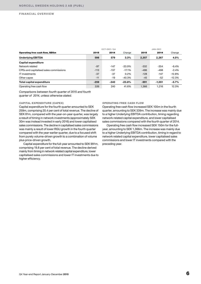|                                        | OCT-DEC / Q4 |        |          | JAN-DEC |          |          |  |
|----------------------------------------|--------------|--------|----------|---------|----------|----------|--|
| <b>Operating free cash flow, SEKm</b>  | 2015         | 2014   | Change   | 2015    | 2014     | Change   |  |
| <b>Underlying EBITDA</b>               | 598          | 579    | 3.3%     | 2,357   | 2,267    | 4.0%     |  |
| Capital expenditure                    |              |        |          |         |          |          |  |
| Network related                        | $-97$        | $-147$ | $-33.9%$ | $-332$  | $-354$   | $-6.4%$  |  |
| CPEs and capitalised sales commissions | $-113$       | $-137$ | $-17.1%$ | $-486$  | $-498$   | $-2.4%$  |  |
| <b>IT investments</b>                  | $-37$        | $-37$  | $0.2\%$  | $-128$  | $-147$   | $-12.8%$ |  |
| Other capex                            | $-11$        | $-19$  | $-40.3%$ | $-45$   | $-52$    | $-12.3%$ |  |
| <b>Total capital expenditure</b>       | $-259$       | $-340$ | $-23.8%$ | $-991$  | $-1.051$ | $-5.7%$  |  |
| Operating free cash flow               | 339          | 240    | 41.6%    | 1.366   | 1.216    | 12.3%    |  |

*Comparisons between fourth quarter of 2015 and fourth quarter of 2014, unless otherwise stated.*

# CAPITAL EXPENDITURE (CAPEX)

Capital expenditure for the fourth quarter amounted to SEK 259m, comprising 20.4 per cent of total revenue. The decline of SEK 81m, compared with the year-on-year quarter, was largely a result of timing in network investments (approximately SEK 30m was instead invested in early 2016) and lower capitalised sales commissions. The decline in capitalised sales commissions was mainly a result of lower RGU growth in the fourth quarter compared with the year-earlier quarter, due to a focused shift from purely volume-driven growth to a combination of volume plus price-driven growth.

Capital expenditure for the full-year amounted to SEK 991m, comprising 19.8 per cent of total revenue. The decline derived mainly from timing in network related capital expenditure, lower capitalised sales commissions and lower IT investments due to higher efficiency.

## OPERATING FREE CASH FLOW

Operating free cash flow increased SEK 100m in the fourth quarter, amounting to SEK 339m. The increase was mainly due to a higher Underlying EBITDA contribution, timing regarding network-related capital expenditure, and lower capitalised sales commissions compared with the fourth quarter of 2014.

Operating free cash flow increased SEK 150m for the fullyear, amounting to SEK 1,366m. The increase was mainly due to a higher Underlying EBITDA contribution, timing in regard to network related capital expenditure, lower capitalised sales commissions and lower IT investments compared with the preceding year.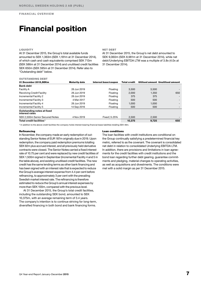# Financial position

# **LIQUIDITY**

At 31 December 2015, the Group's total available funds amounted to SEK 1,363m (SEK 1,181m at 31 December 2014), of which cash and cash equivalents comprised SEK 713m (SEK 586m at 31 December 2014) and unutilised credit facilities SEK 650m (SEK 595m at 31 December 2014). Refer also to "Outstanding debt" below.

NET DEBT

At 31 December 2015, the Group's net debt amounted to SEK 9,060m (SEK 8,981m at 31 December 2014), while net debt/Underlying EBITDA LTM was a multiple of 3.8x (4.0x at 31 December 2014).

# OUTSTANDING DEBT

| 31 December 2015.SEKm                             | <b>Maturity date</b> | Interest base/coupon | Total credit |       | Utilised amount Unutilised amount |
|---------------------------------------------------|----------------------|----------------------|--------------|-------|-----------------------------------|
| <b>Bank debt</b>                                  |                      |                      |              |       |                                   |
| Facility A                                        | 26 Jun 2019          | Floating             | 3.500        | 3.500 |                                   |
| Revolving Credit Facility                         | 26 Jun 2019          | Floating             | 2,000        | 1.350 | 650                               |
| Incremental Facility 2                            | 26 Jun 2019          | Floating             | 375          | 375   |                                   |
| Incremental Facility 3                            | 4 Mar 2017           | Floating             | 500          | 500   |                                   |
| Incremental Facility 4                            | 26 Jun 2019          | Floating             | 1.000        | 1.000 |                                   |
| Incremental Facility 5                            | 14 Sep 2016          | Floating             | 500          | 500   |                                   |
| Outstanding notes at fixed<br>interest rates      |                      |                      |              |       |                                   |
| SEK 2,500m Senior Secured Notes                   | 4 Nov 2019           | Fixed   5.25%        | 2.500        | 2.500 |                                   |
| Total credit facilities <sup><math>1</math></sup> |                      |                      | 10,375       | 9,725 | 650                               |

1) In addition to the above credit facilities the company holds interest-bearing financial lease liabilities totalling SEK 48m.

# Refinancing

In November, the company made an early redemption of outstanding Senior Notes of EUR 187m originally due in 2019. Upon redemption, the company paid redemption premiums totalling SEK 92m plus accrued interest, and all previously held derivative contracts were closed. The Senior Notes carried a fixed interest rate of 10.75 per cent and were replaced by new credit facilities of SEK 1,500m signed in September (Incremental Facility 4 and 5 in the table above), and existing unutilised credit facilities. The new credit has the same lending terms as other bank financing and has been signed with an interest rate that is expected to reduce the Group's average interest expense from 4.4 per cent before refinancing, to approximately 3 per cent with the prevailing Swedish market interest rate. The refinancing is therefore estimated to reduce the Group's annual interest expenses by more than SEK 100m, compared with the previous level.

At 31 December 2015, the Group's total credit facilities, including the outstanding SEK bond, amounted to SEK 10,375m, with an average remaining term of 3.4 years. The company's intention is to continue striving for long-term, diversified financing in both bond and bank financing forms.

### Loan conditions

The loan facilities with credit institutions are conditional on the Group continually satisfying a predetermined financial key metric, referred to as the covenant. The covenant is consolidated net debt in relation to consolidated Underlying EBITDA LTM. In addition, there are provisions and limitations in loan agreements for the credit facilities with credit institutions and the bond loan regarding further debt gearing, guarantee commitments and pledging, material changes to operating activities, as well as acquisitions and divestments. The conditions were met with a solid margin as per 31 December 2015.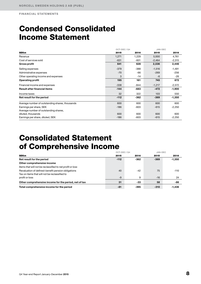# Condensed Consolidated Income Statement

|                                                 | OCT-DEC / Q4 |        | JAN-DEC  |          |
|-------------------------------------------------|--------------|--------|----------|----------|
| <b>SEKm</b>                                     | 2015         | 2014   | 2015     | 2014     |
| Revenue                                         | 1,271        | 1,229  | 5,000    | 4,761    |
| Cost of services sold                           | $-631$       | $-601$ | $-2,464$ | $-2,315$ |
| <b>Gross profit</b>                             | 641          | 628    | 2,536    | 2,446    |
| Selling expenses                                | $-379$       | $-388$ | $-1,516$ | $-1,491$ |
| Administrative expenses                         | $-70$        | -66    | $-269$   | $-256$   |
| Other operating income and expenses             | 3            | $-14$  | -6       | -26      |
| <b>Operating profit</b>                         | 195          | 161    | 745      | 672      |
| Financial income and expenses                   | $-338$       | $-844$ | $-1,217$ | $-2,572$ |
| <b>Result after financial items</b>             | $-144$       | $-683$ | $-472$   | $-1,900$ |
| Income taxes                                    | 32           | 322    | 103      | 550      |
| Net result for the period                       | $-112$       | $-362$ | $-369$   | $-1,350$ |
| Average number of outstanding shares, thousands | 600          | 600    | 600      | 600      |
| Earnings per share, SEK                         | $-186$       | $-603$ | $-615$   | $-2,250$ |
| Average number of outstanding shares,           |              |        |          |          |
| diluted, thousands                              | 600          | 600    | 600      | 600      |
| Earnings per share, diluted, SEK                | $-186$       | -603   | $-615$   | $-2,250$ |

# Consolidated Statement of Comprehensive Income

|                                                           | OCT-DEC / 04 |        | JAN-DEC |          |
|-----------------------------------------------------------|--------------|--------|---------|----------|
| <b>SEKm</b>                                               | 2015         | 2014   | 2015    | 2014     |
| Net result for the period                                 | $-112$       | $-362$ | $-369$  | $-1,350$ |
| Other comprehensive income                                |              |        |         |          |
| Items that will not be reclassified to net profit or loss |              |        |         |          |
| Revaluation of defined-benefit pension obligations        | 40           | $-42$  | 75      | $-110$   |
| Tax on items that will not be reclassified to             |              |        |         |          |
| profit or loss                                            | $-9$         | 9      | $-16$   | 24       |
| Other comprehensive income for the period, net of tax     | 31           | $-33$  | 58      | -86      |
| Total comprehensive income for the period                 | -81          | $-395$ | $-310$  | $-1.436$ |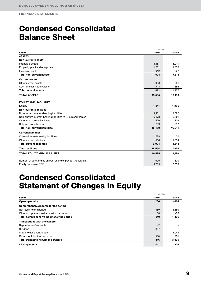# Condensed Consolidated Balance Sheet

|                                                             |        | 31 DEC |  |  |  |
|-------------------------------------------------------------|--------|--------|--|--|--|
| <b>SEKm</b>                                                 | 2015   | 2014   |  |  |  |
| <b>ASSETS</b>                                               |        |        |  |  |  |
| <b>Non-current assets</b>                                   |        |        |  |  |  |
| Intangible assets                                           | 15,451 | 16,041 |  |  |  |
| Property, plant and equipment                               | 1,531  | 1,505  |  |  |  |
| Financial assets                                            | 942    | 267    |  |  |  |
| <b>Total non-current assets</b>                             | 17,924 | 17,813 |  |  |  |
| <b>Current assets</b>                                       |        |        |  |  |  |
| Other current assets                                        | 958    | 791    |  |  |  |
| Cash and cash equivalents                                   | 713    | 586    |  |  |  |
| <b>Total current assets</b>                                 | 1,671  | 1,377  |  |  |  |
| <b>TOTAL ASSETS</b>                                         | 19,595 | 19,190 |  |  |  |
| <b>EQUITY AND LIABILITIES</b>                               |        |        |  |  |  |
| <b>Equity</b>                                               | 1,041  | 1,236  |  |  |  |
| <b>Non-current liabilities</b>                              |        |        |  |  |  |
| Non-current interest-bearing liabilities                    | 9,151  | 9,392  |  |  |  |
| Non-current interest-bearing liabilities to Group companies | 6,873  | 6,501  |  |  |  |
| Other non-current liabilities                               | 176    | 236    |  |  |  |
| Deferred tax liabilities                                    | 259    | 212    |  |  |  |
| <b>Total non-current liabilities</b>                        | 16,459 | 16,341 |  |  |  |
| <b>Current liabilities</b>                                  |        |        |  |  |  |
| Current interest-bearing liabilities                        | 528    | 30     |  |  |  |
| Other current liabilities                                   | 1,566  | 1,584  |  |  |  |
| <b>Total current liabilities</b>                            | 2,094  | 1,614  |  |  |  |
| <b>Total liabilities</b>                                    | 18,554 | 17,954 |  |  |  |
| <b>TOTAL EQUITY AND LIABILITIES</b>                         | 19,595 | 19,190 |  |  |  |
| Number of outstanding shares, at end of period, thousands   | 600    | 600    |  |  |  |
| Equity per share, SEK                                       | 1,735  | 2,059  |  |  |  |

# Condensed Consolidated Statement of Changes in Equity

|                                           |        | 31 DEC   |
|-------------------------------------------|--------|----------|
| <b>SEKm</b>                               | 2015   | 2014     |
| <b>Opening equity</b>                     | 1,236  | $-664$   |
| Comprehensive income for the period       |        |          |
| Net result for the period                 | $-369$ | $-1,350$ |
| Other comprehensive income for the period | 58     | -86      |
| Total comprehensive income for the period | $-310$ | $-1,436$ |
| <b>Transactions with the owners</b>       |        |          |
| Repurchase of warrants                    | $-2$   |          |
| Dividend                                  | $-357$ |          |
| Shareholder's contribution                |        | 3,044    |
| Group contribution, net of tax            | 474    | 291      |
| Total transactions with the owners        | 116    | 3,335    |
| <b>Closing equity</b>                     | 1,041  | 1,236    |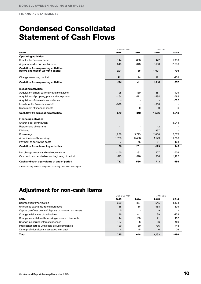# Condensed Consolidated Statement of Cash Flows

|                                                                          | OCT-DEC / Q4 |          | JAN-DEC  |           |  |
|--------------------------------------------------------------------------|--------------|----------|----------|-----------|--|
| <b>SEKm</b>                                                              | 2015         | 2014     | 2015     | 2014      |  |
| <b>Operating activities</b>                                              |              |          |          |           |  |
| Result after financial items                                             | $-144$       | $-683$   | $-472$   | $-1,900$  |  |
| Adjustments for non-cash items                                           | 345          | 648      | 2,163    | 2,696     |  |
| Cash flow from operating activities<br>before changes in working capital | 201          | $-35$    | 1,691    | 796       |  |
| Change in working capital                                                | 111          | 24       | 121      | $-159$    |  |
| Cash flow from operating activities                                      | 312          | $-11$    | 1,812    | 637       |  |
| <b>Investing activities</b>                                              |              |          |          |           |  |
| Acquisition of non-current intangible assets                             | $-95$        | $-139$   | $-381$   | $-429$    |  |
| Acquisition of property, plant and equipment                             | $-164$       | $-172$   | $-594$   | $-594$    |  |
| Acquisition of shares in subsidiaries                                    |              |          |          | $-302$    |  |
| Investment in financial assets <sup>1)</sup>                             | $-320$       | ٠        | $-580$   |           |  |
| Divestment of financial assets                                           |              | 0        | $\Omega$ | 6         |  |
| Cash flow from investing activities                                      | $-579$       | $-312$   | $-1,556$ | $-1,318$  |  |
| <b>Financing activities</b>                                              |              |          |          |           |  |
| Shareholder contribution                                                 |              |          |          | 3,044     |  |
| Repurchase of warrants                                                   | $-1$         |          | $-2$     |           |  |
| Dividend                                                                 |              |          | $-357$   |           |  |
| <b>Borrowings</b>                                                        | 1,900        | 3,775    | 2,000    | 8,575     |  |
| Amortisation of borrowings                                               | $-1,725$     | $-3,498$ | $-1,749$ | $-11,366$ |  |
| Payment of borrowing costs                                               | $-7$         | $-45$    | $-21$    | $-108$    |  |
| Cash flow from financing activities                                      | 166          | 231      | $-129$   | 145       |  |
| Net change in cash and cash equivalents                                  | $-100$       | $-92$    | 127      | $-536$    |  |
| Cash and cash equivalents at beginning of period                         | 813          | 678      | 586      | 1,122     |  |
| Cash and cash equivalents at end of period                               | 713          | 586      | 713      | 586       |  |

1) Intercompany loans to the parent company Com Hem Holding AB.

# Adjustment for non-cash items

|                                                          | OCT-DEC / 04   |        |        | JAN-DEC |  |
|----------------------------------------------------------|----------------|--------|--------|---------|--|
| <b>SEKm</b>                                              | 2015           | 2014   | 2015   | 2014    |  |
| Depreciation/amortisation                                | 392            | 377    | 1,545  | 1,438   |  |
| Unrealised exchange-rate differences                     | $-135$         | 166    | $-188$ | 339     |  |
| Capital gain/loss on sale/disposal of non-current assets | $\mathbf 0$    |        | 9      |         |  |
| Change in fair value of derivatives                      | 46             | $-41$  | 39     | $-158$  |  |
| Change in capitalised borrowing costs and discounts      | 44             | 138    | 71     | 432     |  |
| Change in accrued interest expenses                      | $-197$         | $-188$ | $-66$  | $-124$  |  |
| Interest not settled with cash, group companies          | 190            | 180    | 736    | 743     |  |
| Other profit/loss items not settled with cash            | $\overline{4}$ | 15     | 16     | 26      |  |
| Total                                                    | 345            | 648    | 2.163  | 2.696   |  |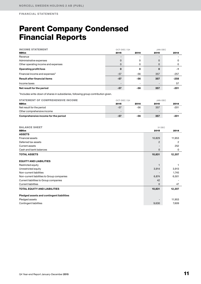# Parent Company Condensed Financial Reports

| <b>INCOME STATEMENT</b>                     | OCT-DEC / Q4 |      |                          | JAN-DEC |  |
|---------------------------------------------|--------------|------|--------------------------|---------|--|
| <b>SEKm</b>                                 | 2015         | 2014 | 2015                     | 2014    |  |
| Revenue                                     | -            |      | $\overline{\phantom{0}}$ |         |  |
| Administrative expenses                     | $\Omega$     | 0    | 0                        | 0       |  |
| Other operating income and expenses         | 0            | 0    | $\mathbf 0$              | 0       |  |
| <b>Operating profit/loss</b>                | $\bf{0}$     | 0    | $\mathbf 0$              | -1      |  |
| Financial income and expenses <sup>1)</sup> | $-57$        | -56  | 357                      | $-257$  |  |
| <b>Result after financial items</b>         | $-57$        | -56  | 357                      | $-258$  |  |
| Income taxes                                |              |      | $\overline{\phantom{a}}$ | 57      |  |
| Net result for the period                   | $-57$        | -56  | 357                      | $-201$  |  |

<sup>1)</sup>Includes write-down of shares in subsidiaries, following group contribution given.

| <b>STATEMENT OF COMPREHENSIVE INCOME</b> | OCT-DEC / Q4 |      | JAN-DEC                  |        |
|------------------------------------------|--------------|------|--------------------------|--------|
| <b>SEKm</b>                              | 2015         | 2014 | 2015                     | 2014   |
| Net result for the period                | -57          | -56  | 357                      | $-201$ |
| Other comprehensive income               |              | -    | $\overline{\phantom{0}}$ |        |
| Comprehensive income for the period      | -57          | -56  | 357                      | -201   |

| <b>BALANCE SHEET</b>                       | 31 DEC                   |        |
|--------------------------------------------|--------------------------|--------|
| <b>SEKm</b>                                | 2015                     | 2014   |
| <b>ASSETS</b>                              |                          |        |
| <b>Financial assets</b>                    | 10,829                   | 11,953 |
| Deferred tax assets                        | 2                        | 2      |
| Current assets                             | $\overline{\phantom{a}}$ | 252    |
| Cash and bank balances                     | $\mathbf 0$              | 0      |
| <b>TOTAL ASSETS</b>                        | 10,831                   | 12,207 |
| <b>EQUITY AND LIABILITIES</b>              |                          |        |
| Restricted equity                          |                          |        |
| Unrestricted equity                        | 3,914                    | 3,913  |
| Non-current liabilities                    |                          | 1,745  |
| Non-current liabilities to Group companies | 6,874                    | 6,501  |
| Current liabilities to Group companies     | 42                       |        |
| <b>Current liabilities</b>                 | $\mathbf 0$              | 47     |
| <b>TOTAL EQUITY AND LIABILITIES</b>        | 10,831                   | 12,207 |
| Pledged assets and contingent liabilities  |                          |        |
| Pledged assets                             |                          | 11,953 |
| Contingent liabilities                     | 9,630                    | 7,609  |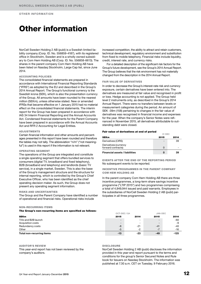# OTHER INFORMATION

# Other information

NorCell Sweden Holding 2 AB (publ) is a Swedish limited liability company (Corp. ID. No. 556859-4187), with its registered office in Stockholm, Sweden and is a wholly owned subsidiary to Com Hem Holding AB (Corp. ID. No. 556858-6613). The shares in the parent company Com Hem Holding AB have been listed on Nasdaq Stockholm, Large Cap list, since June 2014.

## ACCOUNTING POLICIES

The consolidated financial statements are prepared in accordance with International Financial Reporting Standards ("IFRS") as adopted by the EU and described in the Group's 2014 Annual Report. The Group's functional currency is the Swedish krona (SEK), which is also the presentation currency of the Group. All amounts have been rounded to the nearest million (SEKm), unless otherwise stated. New or amended IFRSs that became effective on 1 January 2015 had no material effect on the consolidated financial statements. The interim report for the Group has been prepared in accordance with IAS 34 Interim Financial Reporting and the Annual Accounts Act. Condensed financial statements for the Parent Company have been prepared in accordance with the Annual Accounts Act and RFR 2 Accounting for Legal Entities.

### ADJUSTMENTS

Certain financial information and other amounts and percentages presented in this report have been rounded and therefore the tables may not tally. The abbreviation "n/m" ("not meaningful") is used in this report if the information is not relevant.

## OPERATING SEGMENT

The operations of the Group are integrated and constitute a single operating segment that offers bundled services to consumers (digital TV, broadband and fixed telephony), B2B (broadband and telephony) and landlords (basic TV service), in a single market, Sweden. This is also the base of the Group's management structure and the structure for internal reporting, which is controlled by the Group's Chief Executive Officer, who has been identified as the chief operating decision maker. As such, the Group does not present any operating segment information.

#### RISKS AND UNCERTAINTIES

The Group and the Parent Company have identified a number of operational and financial risks. Operational risks include

#### NON-RECURRING ITEMS

## The Group's non-recurring items are specified as follows:

increased competition, the ability to attract and retain customers, technical development, regulatory environment and substitution from fixed to mobile telephony. Financial risks include liquidity, credit, interest rate, and currency risks.

For a detailed description of the significant risk factors for the Group's future development, see the Group's 2014 Annual Report. The Group believes that the risk environment has not materially changed from the description in the 2014 Annual Report.

# FAIR VALUE OF DERIVATIVES

In order to decrease the Group's interest-rate risk and currency exposure, certain derivatives have been entered into. The derivatives are measured at fair value and recognised in profit or loss. Hedge accounting is not applied. The Group held level 2 instruments only, as described in the Group's 2014 Annual Report. There were no transfers between levels or measurement categories during the period. An amount of SEK -39m (158) pertaining to changes in the fair value of derivatives was recognised in financial income and expenses for the year. When the company's Senior Notes were refinanced in November 2015, all derivatives attributable to outstanding debt were closed.

### Fair value of derivatives at end of period

|                                             | 31 DEC |      |
|---------------------------------------------|--------|------|
| <b>SEKm</b>                                 | 2015   | 2014 |
| Derivatives (CIRS)                          |        | 39   |
| Derivatives (currency<br>forward contracts) | O      |      |
| <b>Financial assets / liabilities</b>       | 0      | 39   |

EVENTS AFTER THE END OF THE REPORTING PERIOD No subsequent events to be reported.

### INCENTIVE PROGRAMMES IN THE PARENT COMPANY COM HEM HOLDING AB

In the parent company Com Hem Holding AB there are three incentive programmes, a long-term share savings incentive programme ("LTIP 2015") and two programmes compriseing a total of 4,949,944 issued and paid warrants. Employees in the subsidiaries of NorCell Sweden Holding 2 AB (publ) participates in all three programmes.

|                           | OCT-DEC / Q4             |                          | JAN-DEC |        |
|---------------------------|--------------------------|--------------------------|---------|--------|
| <b>SEKm</b>               | 2015                     | 2014                     | 2015    | 2014   |
| TiVo and B2B launch       | $\overline{\phantom{0}}$ | $\overline{\phantom{a}}$ | -       | -60    |
| Acquisition costs         | -                        | $\overline{\phantom{a}}$ |         | -9     |
| Redundancy costs          | $-8$                     | $-21$                    | $-41$   | -40    |
| Other                     | $-5$                     | $-2$                     | $-7$    | $-16$  |
| Total non-recurring items | $-13$                    | $-23$                    | -49     | $-125$ |

### AUDITOR'S REVIEW

This year-end report has not been reviewed by the company's auditors.

#### **DISCLOSURE**

NorCell Sweden Holding 2 AB (publ) discloses the information provided in this year-end report pursuant to the terms and conditions for the group's Senior Secured Notes and Rule book for Issuers on Nasdaq Stockholm. The information was published at 7.30 a.m. CET on Tuesday, 9 February 2016.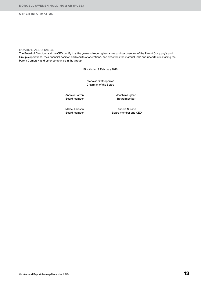# OTHER INFORMATION

# BOARD'S ASSURANCE

The Board of Directors and the CEO certify that the year-end report gives a true and fair overview of the Parent Company's and Group's operations, their financial position and results of operations, and describes the material risks and uncertainties facing the Parent Company and other companies in the Group.

Stockholm, 9 February 2016

Nicholas Stathopoulos Chairman of the Board

Andrew Barron Board member Joachim Ogland Board member

Mikael Larsson Board member

Anders Nilsson Board member and CEO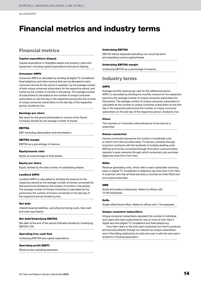# Financial metrics and industry terms

# Financial metrics

#### Capital expenditure (Capex)

Capital expenditure in intangible assets and property, plant and equipment, including capital expenditure financed by leasing.

#### Consumer ARPU

Consumer ARPU is calculated by dividing all digital TV, broadband, fixed telephony and other revenue that can be allocated to each consumer service for the period in question, by the average number of total unique consumer subscribers for the respective period, and further by the number of months in the period. The average number of subscribers is calculated as the number of unique consumer subscribers on the first day in the respective period plus the number of unique consumer subscribers on the last day of the respective period, divided by two.

#### Earnings per share

Net result for the period attributable to owners of the Parent Company divided by the average number of shares.

#### EBITDA

EBIT excluding depreciation and amortisation.

#### EBITDA margin

EBITDA as a percentage of revenue.

#### Equity/assets ratio

Equity as a percentage of total assets.

#### Equity per share

Equity divided by the total number of outstanding shares.

#### Landlord ARPU

Landlord ARPU is calculated by dividing the revenue for the respective period by the average number of homes connected for that period and divided by the number of months in the period. The average number of homes connected is calculated as the period plus the number of homes connected on the last day of the respective period divided by two.

#### Net debt

Interest-bearing liabilities, excluding borrowing costs, less cash and cash equivalents.

#### Net debt/Underlying EBITDA

Net debt at the end of the period indicated divided by Underlying EBITDA LTM.

### Operating free cash flow

Underlying EBITDA less capital expenditure.

# Operating profit (EBIT)

Revenue less operating expenses.

# Underlying EBITDA

EBITDA before disposals excluding non-recurring items and operating currency gains/losses.

#### Underlying EBITDA margin

Underlying EBITDA as a percentage of revenue.

# Industry terms

# ARPU

Average monthly revenue per user for the referenced period. ARPU is calculated by dividing the monthly revenue for the respective period by the average number of unique consumer subscribers for that period. The average number of unique consumer subscribers is calculated as the number of unique consumer subscribers on the first day in the respective period plus the number of unique consumer subscribers on the last day of the respective period, divided by two.

#### Churn

The voluntary or involuntary discontinuance of services by a subscriber.

#### Homes connected

Homes connected represents the number of residential units to which Com Hem provides basic TV service, primarily through long-term contracts with the landlords of multiple dwelling units (MDUs) and homes connected through third-party communication operator's open networks through which consumers can purchase digital services from Com Hem.

#### RGUs

Revenue generating units, which refer to each subscriber receiving basic or digital TV, broadband or telephony services from Com Hem. A customer who has all three services is counted as three RGUs but one unique subscriber.

#### **SME**

Small and medium enterprises. Refers to offices with 10-99 employees.

#### SoHo

Single office/Home office. Refers to offices with 1-9 employees.

#### Unique consumer subscribers

Unique consumer subscribers represent the number of individual end-users who have subscribed for one or more of Com Hem's digital services (digital TV, broadband and fixed telephony).

 Com Hem refers to the end-users receiving Com Hem's products and services directly through our network as unique subscribers even if the billing relationship for that end-user is with the end-user's landlord or housing association.